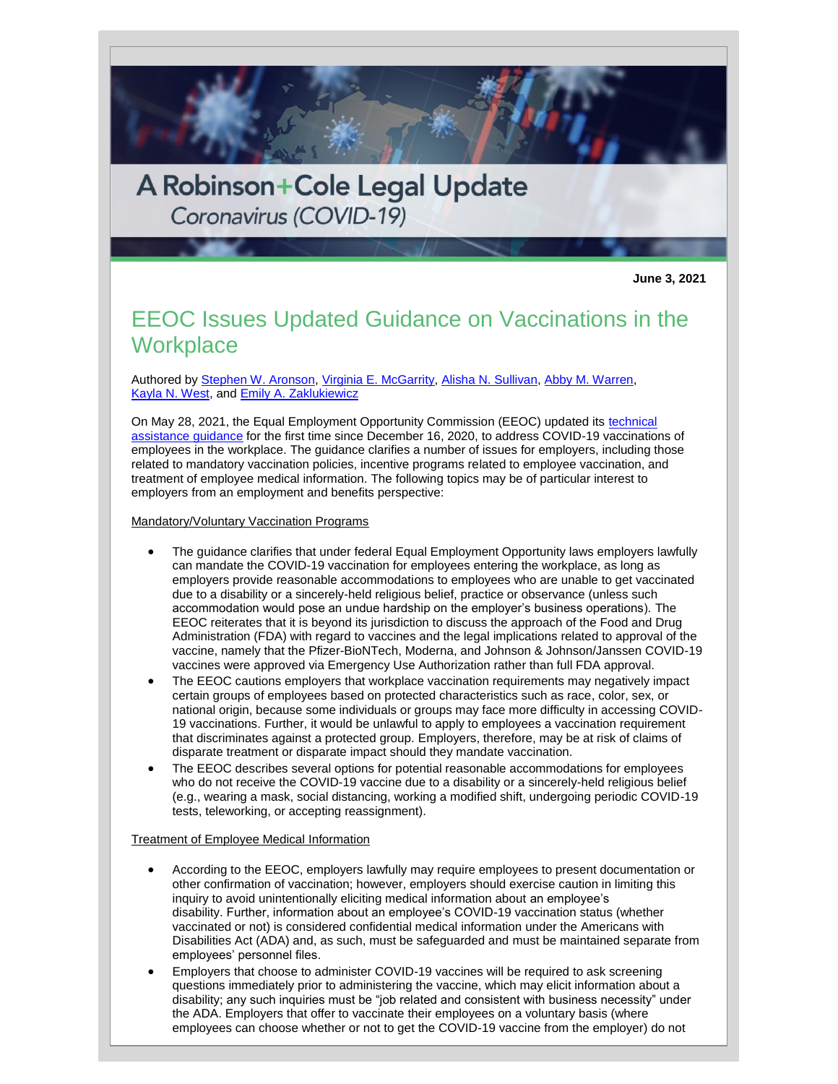A Robinson+Cole Legal Update Coronavirus (COVID-19)

**June 3, 2021**

## EEOC Issues Updated Guidance on Vaccinations in the **Workplace**

Authored by [Stephen W. Aronson,](http://www.rc.com/people/StephenWAronson.cfm) [Virginia E. McGarrity,](http://www.rc.com/people/VirginiaEMcGarrity.cfm) [Alisha N. Sullivan,](http://www.rc.com/people/AlishaNSullivan.cfm) [Abby M. Warren,](http://www.rc.com/people/AbbyMWarren.cfm) [Kayla N. West,](http://www.rc.com/people/KaylaNWest.cfm) and [Emily A. Zaklukiewicz](http://www.rc.com/people/EmilyAZaklukiewicz.cfm)

On May 28, 2021, the Equal Employment Opportunity Commission (EEOC) updated its [technical](https://www.eeoc.gov/wysk/what-you-should-know-about-covid-19-and-ada-rehabilitation-act-and-other-eeo-laws)  [assistance guidance](https://www.eeoc.gov/wysk/what-you-should-know-about-covid-19-and-ada-rehabilitation-act-and-other-eeo-laws) for the first time since December 16, 2020, to address COVID-19 vaccinations of employees in the workplace. The guidance clarifies a number of issues for employers, including those related to mandatory vaccination policies, incentive programs related to employee vaccination, and treatment of employee medical information. The following topics may be of particular interest to employers from an employment and benefits perspective:

Mandatory/Voluntary Vaccination Programs

- The guidance clarifies that under federal Equal Employment Opportunity laws employers lawfully can mandate the COVID-19 vaccination for employees entering the workplace, as long as employers provide reasonable accommodations to employees who are unable to get vaccinated due to a disability or a sincerely-held religious belief, practice or observance (unless such accommodation would pose an undue hardship on the employer's business operations). The EEOC reiterates that it is beyond its jurisdiction to discuss the approach of the Food and Drug Administration (FDA) with regard to vaccines and the legal implications related to approval of the vaccine, namely that the Pfizer-BioNTech, Moderna, and Johnson & Johnson/Janssen COVID-19 vaccines were approved via Emergency Use Authorization rather than full FDA approval.
- The EEOC cautions employers that workplace vaccination requirements may negatively impact certain groups of employees based on protected characteristics such as race, color, sex, or national origin, because some individuals or groups may face more difficulty in accessing COVID-19 vaccinations. Further, it would be unlawful to apply to employees a vaccination requirement that discriminates against a protected group. Employers, therefore, may be at risk of claims of disparate treatment or disparate impact should they mandate vaccination.
- The EEOC describes several options for potential reasonable accommodations for employees who do not receive the COVID-19 vaccine due to a disability or a sincerely-held religious belief (e.g., wearing a mask, social distancing, working a modified shift, undergoing periodic COVID-19 tests, teleworking, or accepting reassignment).

## Treatment of Employee Medical Information

- According to the EEOC, employers lawfully may require employees to present documentation or other confirmation of vaccination; however, employers should exercise caution in limiting this inquiry to avoid unintentionally eliciting medical information about an employee's disability. Further, information about an employee's COVID-19 vaccination status (whether vaccinated or not) is considered confidential medical information under the Americans with Disabilities Act (ADA) and, as such, must be safeguarded and must be maintained separate from employees' personnel files.
- Employers that choose to administer COVID-19 vaccines will be required to ask screening questions immediately prior to administering the vaccine, which may elicit information about a disability; any such inquiries must be "job related and consistent with business necessity" under the ADA. Employers that offer to vaccinate their employees on a voluntary basis (where employees can choose whether or not to get the COVID-19 vaccine from the employer) do not